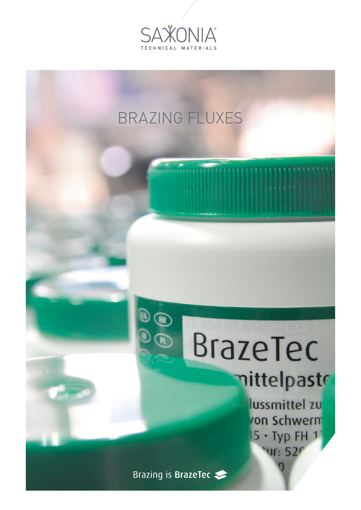

## BRAZING FLUXES

## BrazeTec mittelpaste

lussmittel zu on Schwerm  $5 · Type FH 1$ "Ur: 52

Brazing is BrazeTec

 $\mathbb{\Omega}$